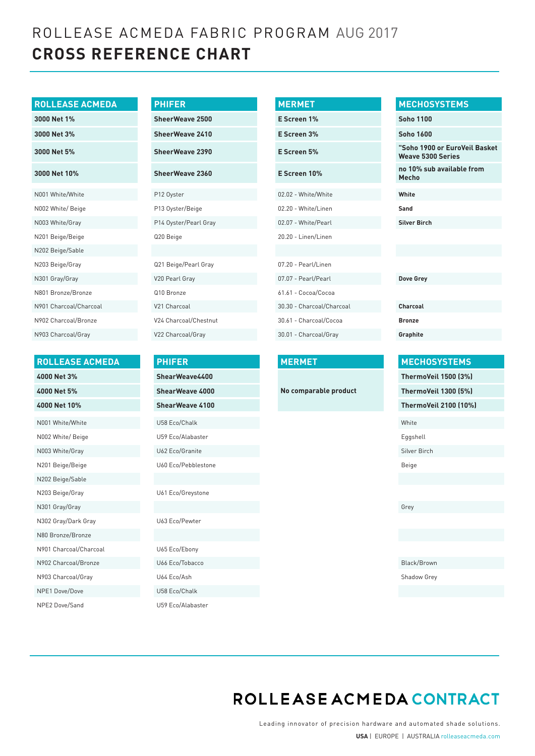## ROLLEASE ACMEDA FABRIC PROGRAM AUG 2017 **CROSS REFERENCE CHART**

| 3000 Net 1%            |
|------------------------|
| 3000 Net 3%            |
| 3000 Net 5%            |
| 3000 Net 10%           |
| N001 White/White       |
| N002 White/ Beige      |
| N003 White/Gray        |
| N201 Beige/Beige       |
| N202 Beige/Sable       |
| N203 Beige/Gray        |
| N301 Gray/Gray         |
| N801 Bronze/Bronze     |
| N901 Charcoal/Charcoal |
| N902 Charcoal/Bronze   |
| N903 Charcoal/Gray     |

| RULLEASE ACMEDA        |
|------------------------|
| 4000 Net 3%            |
| 4000 Net 5%            |
| 4000 Net 10%           |
| N001 White/White       |
| N002 White/ Beige      |
| N003 White/Gray        |
| N201 Beige/Beige       |
| N202 Beige/Sable       |
| N203 Beige/Gray        |
| N301 Gray/Gray         |
| N302 Gray/Dark Gray    |
| N80 Bronze/Bronze      |
| N901 Charcoal/Charcoal |
| N902 Charcoal/Bronze   |
| N903 Charcoal/Gray     |
| NPE1 Dove/Dove         |
| NPE2 Dove/Sand         |

| 3000 Net 1%            | SheerWeave 2500       | E Screen 1%          |
|------------------------|-----------------------|----------------------|
| 3000 Net 3%            | SheerWeave 2410       | E Screen 3%          |
| 3000 Net 5%            | SheerWeave 2390       | E Screen 5%          |
| 3000 Net 10%           | SheerWeave 2360       | E Screen 10%         |
| N001 White/White       | P12 Oyster            | 02.02 - White/White  |
| N002 White/ Beige      | P13 Oyster/Beige      | 02.20 - White/Linen  |
| N003 White/Gray        | P14 Oyster/Pearl Gray | 02.07 - White/Pearl  |
| N201 Beige/Beige       | Q20 Beige             | 20.20 - Linen/Linen  |
| N202 Beige/Sable       |                       |                      |
| N203 Beige/Gray        | Q21 Beige/Pearl Gray  | 07.20 - Pearl/Linen  |
| N301 Gray/Gray         | V20 Pearl Gray        | 07.07 - Pearl/Pearl  |
| N801 Bronze/Bronze     | Q10 Bronze            | 61.61 - Cocoa/Cocoa  |
| N901 Charcoal/Charcoal | V21 Charcoal          | 30.30 - Charcoal/Cha |
| N902 Charcoal/Bronze   | V24 Charcoal/Chestnut | 30.61 - Charcoal/Coo |
| N903 Charcoal/Gray     | V22 Charcoal/Gray     | 30.01 - Charcoal/Gra |
|                        |                       |                      |

| <b>ROLLEASE ACMEDA</b> | <b>PHIFER</b>          | <b>MERMET</b>             | <b>MECHOSYSTEMS</b>                                       |
|------------------------|------------------------|---------------------------|-----------------------------------------------------------|
| 3000 Net 1%            | SheerWeave 2500        | E Screen 1%               | <b>Soho 1100</b>                                          |
| 3000 Net 3%            | <b>SheerWeave 2410</b> | E Screen 3%               | <b>Soho 1600</b>                                          |
| 3000 Net 5%            | SheerWeave 2390        | E Screen 5%               | "Soho 1900 or EuroVeil Basket<br><b>Weave 5300 Series</b> |
| 3000 Net 10%           | SheerWeave 2360        | E Screen 10%              | no 10% sub available from<br><b>Mecho</b>                 |
| N001 White/White       | P12 Oyster             | 02.02 - White/White       | White                                                     |
| N002 White/ Beige      | P13 Oyster/Beige       | 02.20 - White/Linen       | Sand                                                      |
| N003 White/Gray        | P14 Oyster/Pearl Gray  | 02.07 - White/Pearl       | <b>Silver Birch</b>                                       |
| N201 Beige/Beige       | Q20 Beige              | 20.20 - Linen/Linen       |                                                           |
| N202 Beige/Sable       |                        |                           |                                                           |
| N203 Beige/Gray        | Q21 Beige/Pearl Gray   | 07.20 - Pearl/Linen       |                                                           |
| N301 Gray/Gray         | V20 Pearl Gray         | 07.07 - Pearl/Pearl       | Dove Grey                                                 |
| N801 Bronze/Bronze     | Q10 Bronze             | 61.61 - Cocoa/Cocoa       |                                                           |
| N901 Charcoal/Charcoal | V21 Charcoal           | 30.30 - Charcoal/Charcoal | Charcoal                                                  |
| N902 Charcoal/Bronze   | V24 Charcoal/Chestnut  | 30.61 - Charcoal/Cocoa    | <b>Bronze</b>                                             |
| N903 Charcoal/Gray     | V22 Charcoal/Gray      | 30.01 - Charcoal/Gray     | Graphite                                                  |
|                        |                        |                           |                                                           |

## **4000 Net 3% ShearWeave4400 No comparable product 4000 Net 5% ShearWeave 4000 ThermoVeil 1300 (5%) 4000 Net 10% ShearWeave 4100 ThermoVeil 2100 (10%)** U58 Eco/Chalk White U59 Eco/Alabaster Eggshell **U62 Eco/Granite** Silver Birch N201 Beige/Beige U60 Eco/Pebblestone Beige U61 Eco/Greystone N301 Gray/Gray Grey U63 Eco/Pewter U65 Eco/Ebony N902 Charcoal/Bronze U66 Eco/Tobacco Black/Brown N903 Charcoal/Gray U64 Eco/Ash Shadow Grey U58 Eco/Chalk U59 Eco/Alabaster

# **ROLLEASE ACMEDA PHIFER MERMET MECHOSYSTEMS ThermoVeil 1500 (3%)**

# ROLLEASE ACMEDA CONTRACT

Leading innovator of precision hardware and automated shade solutions. **USA** | EUROPE | AUSTRALIA rolleaseacmeda.com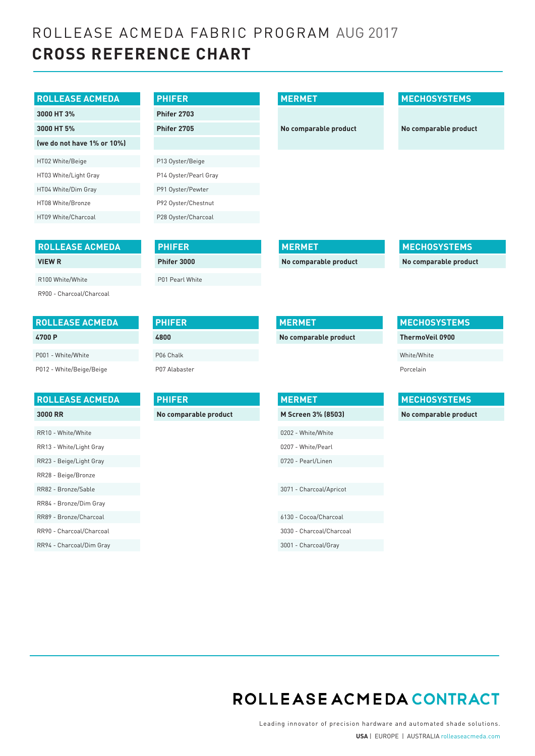## ROLLEASE ACMEDA FABRIC PROGRAM AUG 2017 **CROSS REFERENCE CHART**

### **ROLLEASE ACMEDA PHIFER MERMET MECHOSYSTEMS**

| 3000 HT 3%                 |
|----------------------------|
| 3000 HT 5%                 |
| (we do not have 1% or 10%) |
| HT02 White/Beige           |
|                            |
| HT03 White/Light Gray      |
| HT04 White/Dim Gray        |
| HT08 White/Bronze          |
| <b>HT09 White/Charcoal</b> |

R100 White/White R900 - Charcoal/Charcoal

| <b>ROLLEASE ACMEDA</b>   | <b>PHIFER</b>         | <b>IMERMET</b>        | <b>MECHOS</b>   |
|--------------------------|-----------------------|-----------------------|-----------------|
| 4700 P                   | 4800                  | No comparable product | <b>ThermoVe</b> |
| P001 - White/White       | P <sub>06</sub> Chalk |                       | White/White     |
| P012 - White/Beige/Beige | P07 Alabaster         |                       | Porcelain       |

| P01 Pearl White |  |
|-----------------|--|
|                 |  |
|                 |  |
|                 |  |
| <b>PHIFER</b>   |  |

**3000 HT 3% Phifer 2703**

P13 Oyster/Beige P14 Oyster/Pearl Gray P91 Oyster/Pewter P92 Oyster/Chestnut

| HT09 White/Charcoal    | P28 Oyster/Charcoal |                       |                       |
|------------------------|---------------------|-----------------------|-----------------------|
| <b>ROLLEASE ACMEDA</b> | <b>PHIFER</b>       | <b>I MERMET</b>       | <b>MECHOSYSTEMS</b>   |
| <b>VIEW R</b>          | Phifer 3000         | No comparable product | No comparable product |

**3000 Phifer 2705 COMPARTS INCORPORATE PRODUCT No comparable product No comparable product** 

| <b>PHIFER</b>         |  |
|-----------------------|--|
| 4800                  |  |
| P <sub>06</sub> Chalk |  |
| D07 Alabactor         |  |

| <b>MERMET</b> |                     |  |
|---------------|---------------------|--|
|               | No comparable prodı |  |

## **MECHOSYSTEMS**

**4700 P 4800 No comparable product ThermoVeil 0900**

RR10 - White/White RR13 - White/Light Gray RR23 - Beige/Light Gray RR28 - Beige/Bronze RR82 - Bronze/Sable RR84 - Bronze/Dim Gray RR89 - Bronze/Charcoal 6130 - Cocoa/Charcoal 6130 - Cocoa/Charcoal 6130 - Cocoa/Charcoal

| <b>ROLLEASE ACMEDA</b>  | <b>PHIFER</b>         | <b>MERMET</b>           | <b>MECHOSYSTEMS</b>   |
|-------------------------|-----------------------|-------------------------|-----------------------|
| 3000 RR                 | No comparable product | M Screen 3% (8503)      | No comparable product |
| RR10 - White/White      |                       | 0202 - White/White      |                       |
| RR13 - White/Light Gray |                       | 0207 - White/Pearl      |                       |
| RR23 - Beige/Light Gray |                       | 0720 - Pearl/Linen      |                       |
| RR28 - Beige/Bronze     |                       |                         |                       |
| RR82 - Bronze/Sable     |                       | 3071 - Charcoal/Apricot |                       |
|                         |                       |                         |                       |

- RR90 Charcoal/Charcoal 3030 Charcoal/Charcoal
- RR94 Charcoal/Dim Gray 3001 Charcoal/Gray

# ROLLEASE ACMEDA CONTRACT

Leading innovator of precision hardware and automated shade solutions. **USA** | EUROPE | AUSTRALIA rolleaseacmeda.com